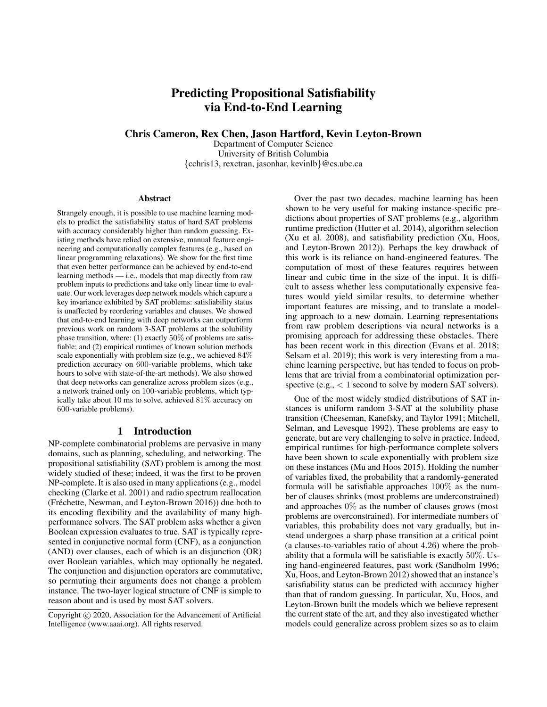# Predicting Propositional Satisfiability via End-to-End Learning

Chris Cameron, Rex Chen, Jason Hartford, Kevin Leyton-Brown

Department of Computer Science University of British Columbia {cchris13, rexctran, jasonhar, kevinlb}@cs.ubc.ca

#### Abstract

Strangely enough, it is possible to use machine learning models to predict the satisfiability status of hard SAT problems with accuracy considerably higher than random guessing. Existing methods have relied on extensive, manual feature engineering and computationally complex features (e.g., based on linear programming relaxations). We show for the first time that even better performance can be achieved by end-to-end learning methods — i.e., models that map directly from raw problem inputs to predictions and take only linear time to evaluate. Our work leverages deep network models which capture a key invariance exhibited by SAT problems: satisfiability status is unaffected by reordering variables and clauses. We showed that end-to-end learning with deep networks can outperform previous work on random 3-SAT problems at the solubility phase transition, where: (1) exactly 50% of problems are satisfiable; and (2) empirical runtimes of known solution methods scale exponentially with problem size (e.g., we achieved 84% prediction accuracy on 600-variable problems, which take hours to solve with state-of-the-art methods). We also showed that deep networks can generalize across problem sizes (e.g., a network trained only on 100-variable problems, which typically take about 10 ms to solve, achieved 81% accuracy on 600-variable problems).

### 1 Introduction

NP-complete combinatorial problems are pervasive in many domains, such as planning, scheduling, and networking. The propositional satisfiability (SAT) problem is among the most widely studied of these; indeed, it was the first to be proven NP-complete. It is also used in many applications (e.g., model checking (Clarke et al. 2001) and radio spectrum reallocation (Fréchette, Newman, and Leyton-Brown 2016)) due both to its encoding flexibility and the availability of many highperformance solvers. The SAT problem asks whether a given Boolean expression evaluates to true. SAT is typically represented in conjunctive normal form (CNF), as a conjunction (AND) over clauses, each of which is an disjunction (OR) over Boolean variables, which may optionally be negated. The conjunction and disjunction operators are commutative, so permuting their arguments does not change a problem instance. The two-layer logical structure of CNF is simple to reason about and is used by most SAT solvers.

Over the past two decades, machine learning has been shown to be very useful for making instance-specific predictions about properties of SAT problems (e.g., algorithm runtime prediction (Hutter et al. 2014), algorithm selection (Xu et al. 2008), and satisfiability prediction (Xu, Hoos, and Leyton-Brown 2012)). Perhaps the key drawback of this work is its reliance on hand-engineered features. The computation of most of these features requires between linear and cubic time in the size of the input. It is difficult to assess whether less computationally expensive features would yield similar results, to determine whether important features are missing, and to translate a modeling approach to a new domain. Learning representations from raw problem descriptions via neural networks is a promising approach for addressing these obstacles. There has been recent work in this direction (Evans et al. 2018; Selsam et al. 2019); this work is very interesting from a machine learning perspective, but has tended to focus on problems that are trivial from a combinatorial optimization perspective (e.g.,  $\lt 1$  second to solve by modern SAT solvers).

One of the most widely studied distributions of SAT instances is uniform random 3-SAT at the solubility phase transition (Cheeseman, Kanefsky, and Taylor 1991; Mitchell, Selman, and Levesque 1992). These problems are easy to generate, but are very challenging to solve in practice. Indeed, empirical runtimes for high-performance complete solvers have been shown to scale exponentially with problem size on these instances (Mu and Hoos 2015). Holding the number of variables fixed, the probability that a randomly-generated formula will be satisfiable approaches 100% as the number of clauses shrinks (most problems are underconstrained) and approaches 0% as the number of clauses grows (most problems are overconstrained). For intermediate numbers of variables, this probability does not vary gradually, but instead undergoes a sharp phase transition at a critical point (a clauses-to-variables ratio of about 4.26) where the probability that a formula will be satisfiable is exactly 50%. Using hand-engineered features, past work (Sandholm 1996; Xu, Hoos, and Leyton-Brown 2012) showed that an instance's satisfiability status can be predicted with accuracy higher than that of random guessing. In particular, Xu, Hoos, and Leyton-Brown built the models which we believe represent the current state of the art, and they also investigated whether models could generalize across problem sizes so as to claim

Copyright (c) 2020, Association for the Advancement of Artificial Intelligence (www.aaai.org). All rights reserved.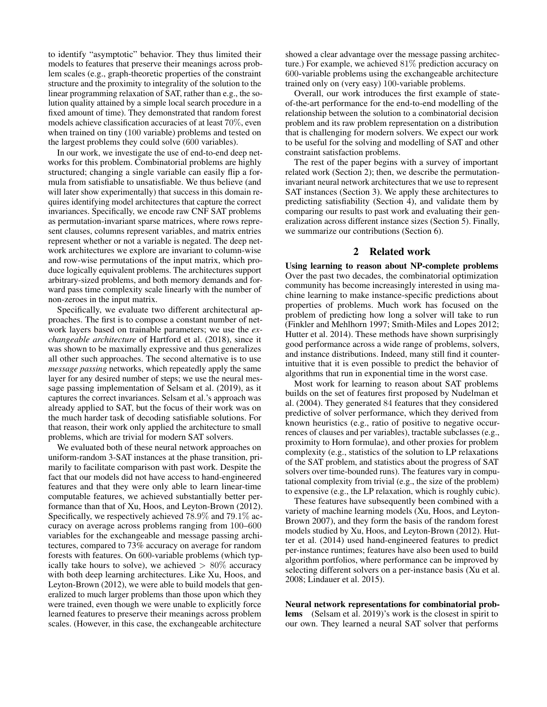to identify "asymptotic" behavior. They thus limited their models to features that preserve their meanings across problem scales (e.g., graph-theoretic properties of the constraint structure and the proximity to integrality of the solution to the linear programming relaxation of SAT, rather than e.g., the solution quality attained by a simple local search procedure in a fixed amount of time). They demonstrated that random forest models achieve classification accuracies of at least 70%, even when trained on tiny (100 variable) problems and tested on the largest problems they could solve (600 variables).

In our work, we investigate the use of end-to-end deep networks for this problem. Combinatorial problems are highly structured; changing a single variable can easily flip a formula from satisfiable to unsatisfiable. We thus believe (and will later show experimentally) that success in this domain requires identifying model architectures that capture the correct invariances. Specifically, we encode raw CNF SAT problems as permutation-invariant sparse matrices, where rows represent clauses, columns represent variables, and matrix entries represent whether or not a variable is negated. The deep network architectures we explore are invariant to column-wise and row-wise permutations of the input matrix, which produce logically equivalent problems. The architectures support arbitrary-sized problems, and both memory demands and forward pass time complexity scale linearly with the number of non-zeroes in the input matrix.

Specifically, we evaluate two different architectural approaches. The first is to compose a constant number of network layers based on trainable parameters; we use the *exchangeable architecture* of Hartford et al. (2018), since it was shown to be maximally expressive and thus generalizes all other such approaches. The second alternative is to use *message passing* networks, which repeatedly apply the same layer for any desired number of steps; we use the neural message passing implementation of Selsam et al. (2019), as it captures the correct invariances. Selsam et al.'s approach was already applied to SAT, but the focus of their work was on the much harder task of decoding satisfiable solutions. For that reason, their work only applied the architecture to small problems, which are trivial for modern SAT solvers.

We evaluated both of these neural network approaches on uniform-random 3-SAT instances at the phase transition, primarily to facilitate comparison with past work. Despite the fact that our models did not have access to hand-engineered features and that they were only able to learn linear-time computable features, we achieved substantially better performance than that of Xu, Hoos, and Leyton-Brown (2012). Specifically, we respectively achieved 78.9% and 79.1% accuracy on average across problems ranging from 100–600 variables for the exchangeable and message passing architectures, compared to 73% accuracy on average for random forests with features. On 600-variable problems (which typically take hours to solve), we achieved  $> 80\%$  accuracy with both deep learning architectures. Like Xu, Hoos, and Leyton-Brown (2012), we were able to build models that generalized to much larger problems than those upon which they were trained, even though we were unable to explicitly force learned features to preserve their meanings across problem scales. (However, in this case, the exchangeable architecture

showed a clear advantage over the message passing architecture.) For example, we achieved 81% prediction accuracy on 600-variable problems using the exchangeable architecture trained only on (very easy) 100-variable problems.

Overall, our work introduces the first example of stateof-the-art performance for the end-to-end modelling of the relationship between the solution to a combinatorial decision problem and its raw problem representation on a distribution that is challenging for modern solvers. We expect our work to be useful for the solving and modelling of SAT and other constraint satisfaction problems.

The rest of the paper begins with a survey of important related work (Section 2); then, we describe the permutationinvariant neural network architectures that we use to represent SAT instances (Section 3). We apply these architectures to predicting satisfiability (Section 4), and validate them by comparing our results to past work and evaluating their generalization across different instance sizes (Section 5). Finally, we summarize our contributions (Section 6).

## 2 Related work

Using learning to reason about NP-complete problems Over the past two decades, the combinatorial optimization community has become increasingly interested in using machine learning to make instance-specific predictions about properties of problems. Much work has focused on the problem of predicting how long a solver will take to run (Finkler and Mehlhorn 1997; Smith-Miles and Lopes 2012; Hutter et al. 2014). These methods have shown surprisingly good performance across a wide range of problems, solvers, and instance distributions. Indeed, many still find it counterintuitive that it is even possible to predict the behavior of algorithms that run in exponential time in the worst case.

Most work for learning to reason about SAT problems builds on the set of features first proposed by Nudelman et al. (2004). They generated 84 features that they considered predictive of solver performance, which they derived from known heuristics (e.g., ratio of positive to negative occurrences of clauses and per variables), tractable subclasses (e.g., proximity to Horn formulae), and other proxies for problem complexity (e.g., statistics of the solution to LP relaxations of the SAT problem, and statistics about the progress of SAT solvers over time-bounded runs). The features vary in computational complexity from trivial (e.g., the size of the problem) to expensive (e.g., the LP relaxation, which is roughly cubic).

These features have subsequently been combined with a variety of machine learning models (Xu, Hoos, and Leyton-Brown 2007), and they form the basis of the random forest models studied by Xu, Hoos, and Leyton-Brown (2012). Hutter et al. (2014) used hand-engineered features to predict per-instance runtimes; features have also been used to build algorithm portfolios, where performance can be improved by selecting different solvers on a per-instance basis (Xu et al. 2008; Lindauer et al. 2015).

Neural network representations for combinatorial problems (Selsam et al. 2019)'s work is the closest in spirit to our own. They learned a neural SAT solver that performs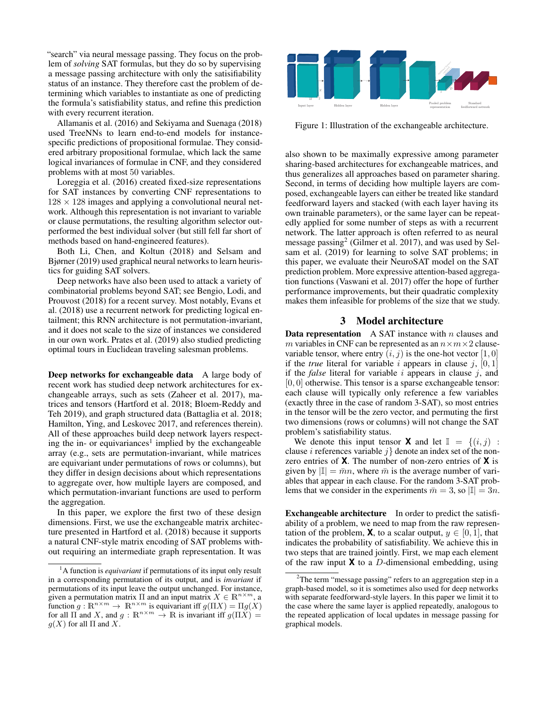"search" via neural message passing. They focus on the problem of *solving* SAT formulas, but they do so by supervising a message passing architecture with only the satisifiability status of an instance. They therefore cast the problem of determining which variables to instantiate as one of predicting the formula's satisfiability status, and refine this prediction with every recurrent iteration.

Allamanis et al. (2016) and Sekiyama and Suenaga (2018) used TreeNNs to learn end-to-end models for instancespecific predictions of propositional formulae. They considered arbitrary propositional formulae, which lack the same logical invariances of formulae in CNF, and they considered problems with at most 50 variables.

Loreggia et al. (2016) created fixed-size representations for SAT instances by converting CNF representations to  $128 \times 128$  images and applying a convolutional neural network. Although this representation is not invariant to variable or clause permutations, the resulting algorithm selector outperformed the best individual solver (but still fell far short of methods based on hand-engineered features).

Both Li, Chen, and Koltun (2018) and Selsam and Bjørner (2019) used graphical neural networks to learn heuristics for guiding SAT solvers.

Deep networks have also been used to attack a variety of combinatorial problems beyond SAT; see Bengio, Lodi, and Prouvost (2018) for a recent survey. Most notably, Evans et al. (2018) use a recurrent network for predicting logical entailment; this RNN architecture is not permutation-invariant, and it does not scale to the size of instances we considered in our own work. Prates et al. (2019) also studied predicting optimal tours in Euclidean traveling salesman problems.

Deep networks for exchangeable data A large body of recent work has studied deep network architectures for exchangeable arrays, such as sets (Zaheer et al. 2017), matrices and tensors (Hartford et al. 2018; Bloem-Reddy and Teh 2019), and graph structured data (Battaglia et al. 2018; Hamilton, Ying, and Leskovec 2017, and references therein). All of these approaches build deep network layers respecting the in- or equivariances<sup>1</sup> implied by the exchangeable array (e.g., sets are permutation-invariant, while matrices are equivariant under permutations of rows or columns), but they differ in design decisions about which representations to aggregate over, how multiple layers are composed, and which permutation-invariant functions are used to perform the aggregation.

In this paper, we explore the first two of these design dimensions. First, we use the exchangeable matrix architecture presented in Hartford et al. (2018) because it supports a natural CNF-style matrix encoding of SAT problems without requiring an intermediate graph representation. It was



Figure 1: Illustration of the exchangeable architecture.

also shown to be maximally expressive among parameter sharing-based architectures for exchangeable matrices, and thus generalizes all approaches based on parameter sharing. Second, in terms of deciding how multiple layers are composed, exchangeable layers can either be treated like standard feedforward layers and stacked (with each layer having its own trainable parameters), or the same layer can be repeatedly applied for some number of steps as with a recurrent network. The latter approach is often referred to as neural message passing<sup>2</sup> (Gilmer et al. 2017), and was used by Selsam et al. (2019) for learning to solve SAT problems; in this paper, we evaluate their NeuroSAT model on the SAT prediction problem. More expressive attention-based aggregation functions (Vaswani et al. 2017) offer the hope of further performance improvements, but their quadratic complexity makes them infeasible for problems of the size that we study.

## 3 Model architecture

**Data representation** A SAT instance with  $n$  clauses and m variables in CNF can be represented as an  $n \times m \times 2$  clausevariable tensor, where entry  $(i, j)$  is the one-hot vector  $[1, 0]$ if the *true* literal for variable i appears in clause  $j$ ,  $[0, 1]$ if the *false* literal for variable  $i$  appears in clause  $j$ , and  $[0, 0]$  otherwise. This tensor is a sparse exchangeable tensor: each clause will typically only reference a few variables (exactly three in the case of random 3-SAT), so most entries in the tensor will be the zero vector, and permuting the first two dimensions (rows or columns) will not change the SAT problem's satisfiability status.

We denote this input tensor **X** and let  $I = \{(i, j) :$ clause *i* references variable  $j$  denote an index set of the nonzero entries of **X**. The number of non-zero entries of **X** is given by  $|\mathbb{I}| = \overline{m}n$ , where  $\overline{m}$  is the average number of variables that appear in each clause. For the random 3-SAT problems that we consider in the experiments  $\bar{m} = 3$ , so  $|\mathbb{I}| = 3n$ .

Exchangeable architecture In order to predict the satisfiability of a problem, we need to map from the raw representation of the problem, **X**, to a scalar output,  $y \in [0, 1]$ , that indicates the probability of satisfiability. We achieve this in two steps that are trained jointly. First, we map each element of the raw input **X** to a D-dimensional embedding, using

<sup>&</sup>lt;sup>1</sup>A function is *equivariant* if permutations of its input only result in a corresponding permutation of its output, and is *invariant* if permutations of its input leave the output unchanged. For instance, given a permutation matrix  $\Pi$  and an input matrix  $X \in \mathbb{R}^{n \times m}$ , a function  $g: \mathbb{R}^{n \times m} \to \mathbb{R}^{n \times m}$  is equivariant iff  $g(\Pi X) = \Pi g(X)$ for all  $\Pi$  and X, and  $g : \mathbb{R}^{n \times m} \to \mathbb{R}$  is invariant iff  $g(\Pi \check{X}) =$  $g(X)$  for all  $\Pi$  and  $X$ .

 $2$ The term "message passing" refers to an aggregation step in a graph-based model, so it is sometimes also used for deep networks with separate feedforward-style layers. In this paper we limit it to the case where the same layer is applied repeatedly, analogous to the repeated application of local updates in message passing for graphical models.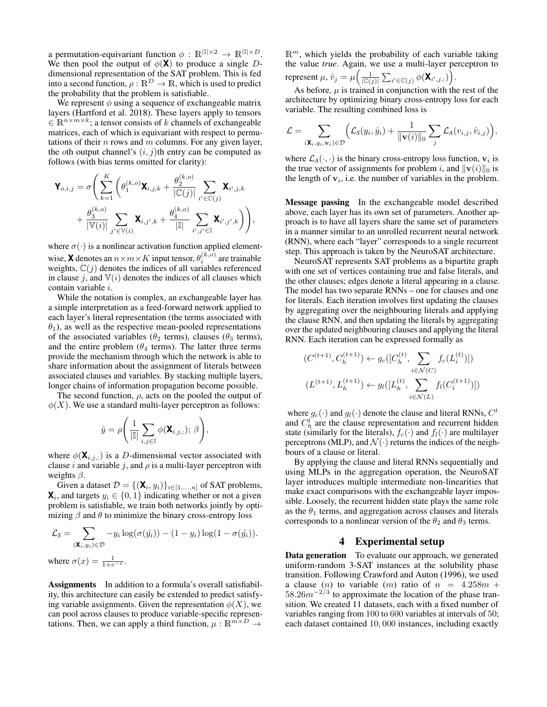a permutation-equivariant function  $\phi : \mathbb{R}^{|\mathbb{I}| \times 2} \to \mathbb{R}^{|\mathbb{I}| \times D}$ . We then pool the output of  $\phi(\mathbf{X})$  to produce a single Ddimensional representation of the SAT problem. This is fed into a second function,  $\rho : \mathbb{R}^D \to \mathbb{R}$ , which is used to predict the probability that the problem is satisfiable.

We represent  $\phi$  using a sequence of exchangeable matrix layers (Hartford et al. 2018). These layers apply to tensors  $\in \mathbb{R}^{n \times m \times k}$ ; a tensor consists of k channels of exchangeable matrices, each of which is equivariant with respect to permutations of their  $n$  rows and  $m$  columns. For any given layer, the *o*th output channel's  $(i, j)$ th entry can be computed as follows (with bias terms omitted for clarity):

$$
\begin{aligned} \mathbf{Y}_{o,i,j} &= \sigma\Bigg(\sum_{k=1}^K\bigg(\theta_1^{(k,o)}\mathbf{X}_{i,j,k}+\frac{\theta_2^{(k,o)}}{|\mathbb{C}(j)|}\sum_{i'\in\mathbb{C}(j)}\mathbf{X}_{i',j,k}\\ &+\frac{\theta_3^{(k,o)}}{|\mathbb{V}(i)|}\sum_{j'\in\mathbb{V}(i)}\mathbf{X}_{i,j',k}+\frac{\theta_4^{(k,o)}}{|\mathbb{I}|}\sum_{i',j'\in\mathbb{I}}\mathbf{X}_{i',j',k}\bigg)\Bigg), \end{aligned}
$$

where  $\sigma(\cdot)$  is a nonlinear activation function applied elementwise, **X** denotes an  $n \times m \times K$  input tensor,  $\theta_i^{(k,o)}$  are trainable weights,  $\mathbb{C}(i)$  denotes the indices of all variables referenced in clause j, and  $\mathbb{V}(i)$  denotes the indices of all clauses which contain variable i.

While the notation is complex, an exchangeable layer has a simple interpretation as a feed-forward network applied to each layer's literal representation (the terms associated with  $\theta_1$ ), as well as the respective mean-pooled representations of the associated variables ( $\theta_2$  terms), clauses ( $\theta_3$  terms), and the entire problem ( $\theta_4$  terms). The latter three terms provide the mechanism through which the network is able to share information about the assignment of literals between associated clauses and variables. By stacking multiple layers, longer chains of information propagation become possible.

The second function,  $\rho$ , acts on the pooled the output of  $\phi(X)$ . We use a standard multi-layer perceptron as follows:

$$
\hat{y} = \rho \Bigg( \frac{1}{|\mathbb{I}|} \sum_{i,j \in \mathbb{I}} \phi(\mathbf{X}_{i,j,:}); \beta \Bigg),
$$

where  $\phi(\mathbf{X}_{i,j,:})$  is a *D*-dimensional vector associated with clause *i* and variable *j*, and  $\rho$  is a multi-layer perceptron with weights  $\beta$ .

Given a dataset  $\mathcal{D} = \{(\mathbf{X}_i, y_i)\}_{i \in [1, ..., n]}$  of SAT problems,  $\mathbf{X}_i$ , and targets  $y_i \in \{0, 1\}$  indicating whether or not a given problem is satisfiable, we train both networks jointly by optimizing  $\beta$  and  $\theta$  to minimize the binary cross-entropy loss

$$
\mathcal{L}_S = \sum_{(\mathbf{X}_i, y_i) \in \mathcal{D}} -y_i \log(\sigma(\hat{y}_i)) - (1 - y_i) \log(1 - \sigma(\hat{y}_i)).
$$
  
where  $\sigma(x) = \frac{1}{1 + e^{-x}}$ .

Assignments In addition to a formula's overall satisfiability, this architecture can easily be extended to predict satisfying variable assignments. Given the representation  $\phi(X)$ , we can pool across clauses to produce variable-specific representations. Then, we can apply a third function,  $\mu : \mathbb{R}^{m \times D} \to$ 

 $\mathbb{R}^m$ , which yields the probability of each variable taking the value *true*. Again, we use a multi-layer perceptron to represent  $\mu$ ,  $\hat{v}_j = \mu \Big( \frac{1}{|\mathbb{C}(j)|} \sum_{i' \in \mathbb{C}(j)} \phi(\mathbf{X}_{i',j,:}) \Big).$ 

As before,  $\mu$  is trained in conjunction with the rest of the architecture by optimizing binary cross-entropy loss for each variable. The resulting combined loss is

$$
\mathcal{L} = \sum_{(\mathbf{X}_i, y_i, \mathbf{v}_i) \in \mathcal{D}} \Big( \mathcal{L}_S(y_i, \hat{y}_i) + \frac{1}{\|\mathbf{v}(i)\|_0} \sum_j \mathcal{L}_A(v_{i,j}, \hat{v}_{i,j}) \Big),
$$

where  $\mathcal{L}_A(\cdot, \cdot)$  is the binary cross-entropy loss function,  $v_i$  is the true vector of assignments for problem i, and  $||\mathbf{v}(i)||_0$  is the length of  $v_i$ , i.e. the number of variables in the problem.

Message passing In the exchangeable model described above, each layer has its own set of parameters. Another approach is to have all layers share the same set of parameters in a manner similar to an unrolled recurrent neural network (RNN), where each "layer" corresponds to a single recurrent step. This approach is taken by the NeuroSAT architecture.

NeuroSAT represents SAT problems as a bipartite graph with one set of vertices containing true and false literals, and the other clauses; edges denote a literal appearing in a clause. The model has two separate RNNs – one for clauses and one for literals. Each iteration involves first updating the clauses by aggregating over the neighbouring literals and applying the clause RNN, and then updating the literals by aggregating over the updated neighbouring clauses and applying the literal RNN. Each iteration can be expressed formally as

$$
(C^{(t+1)}, C_h^{(t+1)}) \leftarrow g_c([C_h^{(t)}, \sum_{i \in \mathcal{N}(C)} f_c(L_i^{(t)})])
$$

$$
(L^{(t+1)}, L_h^{(t+1)}) \leftarrow g_l([L_h^{(t)}, \sum_{i \in \mathcal{N}(L)} f_l(C_i^{(t+1)})])
$$

where  $g_c(\cdot)$  and  $g_l(\cdot)$  denote the clause and literal RNNs,  $C^t$ and  $C_h^t$  are the clause representation and recurrent hidden state (similarly for the literals),  $f_c(\cdot)$  and  $f_l(\cdot)$  are multilayer perceptrons (MLP), and  $\mathcal{N}(\cdot)$  returns the indices of the neighbours of a clause or literal.

By applying the clause and literal RNNs sequentially and using MLPs in the aggregation operation, the NeuroSAT layer introduces multiple intermediate non-linearities that make exact comparisons with the exchangeable layer impossible. Loosely, the recurrent hidden state plays the same role as the  $\theta_1$  terms, and aggregation across clauses and literals corresponds to a nonlinear version of the  $\theta_2$  and  $\theta_3$  terms.

#### 4 Experimental setup

**Data generation** To evaluate our approach, we generated uniform-random 3-SAT instances at the solubility phase transition. Following Crawford and Auton (1996), we used a clause (n) to variable (m) ratio of  $n = 4.258m +$  $58.26m^{-2/3}$  to approximate the location of the phase transition. We created 11 datasets, each with a fixed number of variables ranging from 100 to 600 variables at intervals of 50; each dataset contained 10, 000 instances, including exactly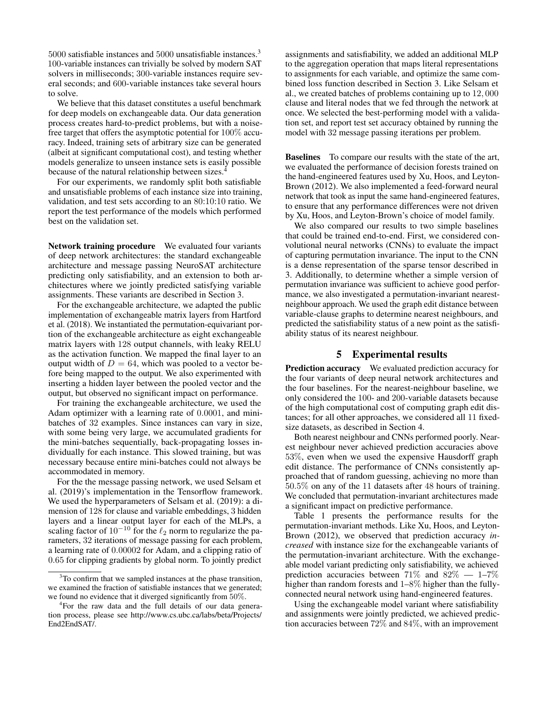5000 satisfiable instances and 5000 unsatisfiable instances.<sup>3</sup> 100-variable instances can trivially be solved by modern SAT solvers in milliseconds; 300-variable instances require several seconds; and 600-variable instances take several hours to solve.

We believe that this dataset constitutes a useful benchmark for deep models on exchangeable data. Our data generation process creates hard-to-predict problems, but with a noisefree target that offers the asymptotic potential for 100% accuracy. Indeed, training sets of arbitrary size can be generated (albeit at significant computational cost), and testing whether models generalize to unseen instance sets is easily possible because of the natural relationship between sizes.<sup>4</sup>

For our experiments, we randomly split both satisfiable and unsatisfiable problems of each instance size into training, validation, and test sets according to an 80:10:10 ratio. We report the test performance of the models which performed best on the validation set.

Network training procedure We evaluated four variants of deep network architectures: the standard exchangeable architecture and message passing NeuroSAT architecture predicting only satisfiability, and an extension to both architectures where we jointly predicted satisfying variable assignments. These variants are described in Section 3.

For the exchangeable architecture, we adapted the public implementation of exchangeable matrix layers from Hartford et al. (2018). We instantiated the permutation-equivariant portion of the exchangeable architecture as eight exchangeable matrix layers with 128 output channels, with leaky RELU as the activation function. We mapped the final layer to an output width of  $D = 64$ , which was pooled to a vector before being mapped to the output. We also experimented with inserting a hidden layer between the pooled vector and the output, but observed no significant impact on performance.

For training the exchangeable architecture, we used the Adam optimizer with a learning rate of 0.0001, and minibatches of 32 examples. Since instances can vary in size, with some being very large, we accumulated gradients for the mini-batches sequentially, back-propagating losses individually for each instance. This slowed training, but was necessary because entire mini-batches could not always be accommodated in memory.

For the the message passing network, we used Selsam et al. (2019)'s implementation in the Tensorflow framework. We used the hyperparameters of Selsam et al. (2019): a dimension of 128 for clause and variable embeddings, 3 hidden layers and a linear output layer for each of the MLPs, a scaling factor of  $10^{-10}$  for the  $\ell_2$  norm to regularize the parameters, 32 iterations of message passing for each problem, a learning rate of 0.00002 for Adam, and a clipping ratio of 0.65 for clipping gradients by global norm. To jointly predict

assignments and satisfiability, we added an additional MLP to the aggregation operation that maps literal representations to assignments for each variable, and optimize the same combined loss function described in Section 3. Like Selsam et al., we created batches of problems containing up to 12, 000 clause and literal nodes that we fed through the network at once. We selected the best-performing model with a validation set, and report test set accuracy obtained by running the model with 32 message passing iterations per problem.

Baselines To compare our results with the state of the art, we evaluated the performance of decision forests trained on the hand-engineered features used by Xu, Hoos, and Leyton-Brown (2012). We also implemented a feed-forward neural network that took as input the same hand-engineered features, to ensure that any performance differences were not driven by Xu, Hoos, and Leyton-Brown's choice of model family.

We also compared our results to two simple baselines that could be trained end-to-end. First, we considered convolutional neural networks (CNNs) to evaluate the impact of capturing permutation invariance. The input to the CNN is a dense representation of the sparse tensor described in 3. Additionally, to determine whether a simple version of permutation invariance was sufficient to achieve good performance, we also investigated a permutation-invariant nearestneighbour approach. We used the graph edit distance between variable-clause graphs to determine nearest neighbours, and predicted the satisfiability status of a new point as the satisfiability status of its nearest neighbour.

### 5 Experimental results

Prediction accuracy We evaluated prediction accuracy for the four variants of deep neural network architectures and the four baselines. For the nearest-neighbour baseline, we only considered the 100- and 200-variable datasets because of the high computational cost of computing graph edit distances; for all other approaches, we considered all 11 fixedsize datasets, as described in Section 4.

Both nearest neighbour and CNNs performed poorly. Nearest neighbour never achieved prediction accuracies above 53%, even when we used the expensive Hausdorff graph edit distance. The performance of CNNs consistently approached that of random guessing, achieving no more than 50.5% on any of the 11 datasets after 48 hours of training. We concluded that permutation-invariant architectures made a significant impact on predictive performance.

Table 1 presents the performance results for the permutation-invariant methods. Like Xu, Hoos, and Leyton-Brown (2012), we observed that prediction accuracy *increased* with instance size for the exchangeable variants of the permutation-invariant architecture. With the exchangeable model variant predicting only satisfiability, we achieved prediction accuracies between  $71\%$  and  $82\% - 1 - 7\%$ higher than random forests and  $1-8\%$  higher than the fullyconnected neural network using hand-engineered features.

Using the exchangeable model variant where satisfiability and assignments were jointly predicted, we achieved prediction accuracies between 72% and 84%, with an improvement

<sup>&</sup>lt;sup>3</sup>To confirm that we sampled instances at the phase transition, we examined the fraction of satisfiable instances that we generated; we found no evidence that it diverged significantly from 50%.

<sup>&</sup>lt;sup>4</sup>For the raw data and the full details of our data generation process, please see http://www.cs.ubc.ca/labs/beta/Projects/ End2EndSAT/.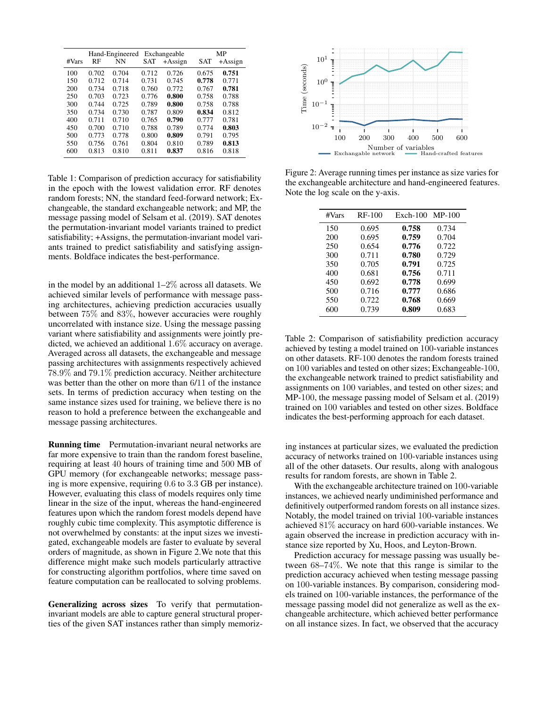|       | Hand-Engineered<br>Exchangeable |       |            | МP         |       |            |
|-------|---------------------------------|-------|------------|------------|-------|------------|
| #Vars | RF                              | NΝ    | <b>SAT</b> | $+A$ ssign | SAT   | $+$ Assign |
| 100   | 0.702                           | 0.704 | 0.712      | 0.726      | 0.675 | 0.751      |
| 150   | 0.712                           | 0.714 | 0.731      | 0.745      | 0.778 | 0.771      |
| 200   | 0.734                           | 0.718 | 0.760      | 0.772      | 0.767 | 0.781      |
| 250   | 0.703                           | 0.723 | 0.776      | 0.800      | 0.758 | 0.788      |
| 300   | 0.744                           | 0.725 | 0.789      | 0.800      | 0.758 | 0.788      |
| 350   | 0.734                           | 0.730 | 0.787      | 0.809      | 0.834 | 0.812      |
| 400   | 0.711                           | 0.710 | 0.765      | 0.790      | 0.777 | 0.781      |
| 450   | 0.700                           | 0.710 | 0.788      | 0.789      | 0.774 | 0.803      |
| 500   | 0.773                           | 0.778 | 0.800      | 0.809      | 0.791 | 0.795      |
| 550   | 0.756                           | 0.761 | 0.804      | 0.810      | 0.789 | 0.813      |
| 600   | 0.813                           | 0.810 | 0.811      | 0.837      | 0.816 | 0.818      |

Table 1: Comparison of prediction accuracy for satisfiability in the epoch with the lowest validation error. RF denotes random forests; NN, the standard feed-forward network; Exchangeable, the standard exchangeable network; and MP, the message passing model of Selsam et al. (2019). SAT denotes the permutation-invariant model variants trained to predict satisfiability; +Assigns, the permutation-invariant model variants trained to predict satisfiability and satisfying assignments. Boldface indicates the best-performance.

in the model by an additional  $1-2\%$  across all datasets. We achieved similar levels of performance with message passing architectures, achieving prediction accuracies usually between 75% and 83%, however accuracies were roughly uncorrelated with instance size. Using the message passing variant where satisfiability and assignments were jointly predicted, we achieved an additional 1.6% accuracy on average. Averaged across all datasets, the exchangeable and message passing architectures with assignments respectively achieved 78.9% and 79.1% prediction accuracy. Neither architecture was better than the other on more than 6/11 of the instance sets. In terms of prediction accuracy when testing on the same instance sizes used for training, we believe there is no reason to hold a preference between the exchangeable and message passing architectures.

Running time Permutation-invariant neural networks are far more expensive to train than the random forest baseline, requiring at least 40 hours of training time and 500 MB of GPU memory (for exchangeable networks; message passing is more expensive, requiring 0.6 to 3.3 GB per instance). However, evaluating this class of models requires only time linear in the size of the input, whereas the hand-engineered features upon which the random forest models depend have roughly cubic time complexity. This asymptotic difference is not overwhelmed by constants: at the input sizes we investigated, exchangeable models are faster to evaluate by several orders of magnitude, as shown in Figure 2.We note that this difference might make such models particularly attractive for constructing algorithm portfolios, where time saved on feature computation can be reallocated to solving problems.

Generalizing across sizes To verify that permutationinvariant models are able to capture general structural properties of the given SAT instances rather than simply memoriz-



Figure 2: Average running times per instance as size varies for the exchangeable architecture and hand-engineered features. Note the log scale on the y-axis.

| #Vars | RF-100 | Exch-100 MP-100 |       |
|-------|--------|-----------------|-------|
| 150   | 0.695  | 0.758           | 0.734 |
| 200   | 0.695  | 0.759           | 0.704 |
| 250   | 0.654  | 0.776           | 0.722 |
| 300   | 0.711  | 0.780           | 0.729 |
| 350   | 0.705  | 0.791           | 0.725 |
| 400   | 0.681  | 0.756           | 0.711 |
| 450   | 0.692  | 0.778           | 0.699 |
| 500   | 0.716  | 0.777           | 0.686 |
| 550   | 0.722  | 0.768           | 0.669 |
| 600   | 0.739  | 0.809           | 0.683 |

Table 2: Comparison of satisfiability prediction accuracy achieved by testing a model trained on 100-variable instances on other datasets. RF-100 denotes the random forests trained on 100 variables and tested on other sizes; Exchangeable-100, the exchangeable network trained to predict satisfiability and assignments on 100 variables, and tested on other sizes; and MP-100, the message passing model of Selsam et al. (2019) trained on 100 variables and tested on other sizes. Boldface indicates the best-performing approach for each dataset.

ing instances at particular sizes, we evaluated the prediction accuracy of networks trained on 100-variable instances using all of the other datasets. Our results, along with analogous results for random forests, are shown in Table 2.

With the exchangeable architecture trained on 100-variable instances, we achieved nearly undiminished performance and definitively outperformed random forests on all instance sizes. Notably, the model trained on trivial 100-variable instances achieved 81% accuracy on hard 600-variable instances. We again observed the increase in prediction accuracy with instance size reported by Xu, Hoos, and Leyton-Brown.

Prediction accuracy for message passing was usually between 68–74%. We note that this range is similar to the prediction accuracy achieved when testing message passing on 100-variable instances. By comparison, considering models trained on 100-variable instances, the performance of the message passing model did not generalize as well as the exchangeable architecture, which achieved better performance on all instance sizes. In fact, we observed that the accuracy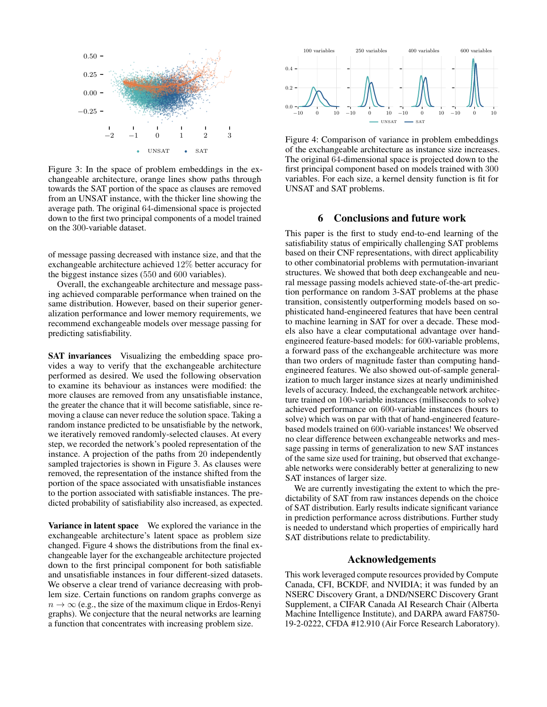

Figure 3: In the space of problem embeddings in the exchangeable architecture, orange lines show paths through towards the SAT portion of the space as clauses are removed from an UNSAT instance, with the thicker line showing the average path. The original 64-dimensional space is projected down to the first two principal components of a model trained on the 300-variable dataset.

of message passing decreased with instance size, and that the exchangeable architecture achieved 12% better accuracy for the biggest instance sizes (550 and 600 variables).

Overall, the exchangeable architecture and message passing achieved comparable performance when trained on the same distribution. However, based on their superior generalization performance and lower memory requirements, we recommend exchangeable models over message passing for predicting satisfiability.

SAT invariances Visualizing the embedding space provides a way to verify that the exchangeable architecture performed as desired. We used the following observation to examine its behaviour as instances were modified: the more clauses are removed from any unsatisfiable instance, the greater the chance that it will become satisfiable, since removing a clause can never reduce the solution space. Taking a random instance predicted to be unsatisfiable by the network, we iteratively removed randomly-selected clauses. At every step, we recorded the network's pooled representation of the instance. A projection of the paths from 20 independently sampled trajectories is shown in Figure 3. As clauses were removed, the representation of the instance shifted from the portion of the space associated with unsatisfiable instances to the portion associated with satisfiable instances. The predicted probability of satisfiability also increased, as expected.

Variance in latent space We explored the variance in the exchangeable architecture's latent space as problem size changed. Figure 4 shows the distributions from the final exchangeable layer for the exchangeable architecture projected down to the first principal component for both satisfiable and unsatisfiable instances in four different-sized datasets. We observe a clear trend of variance decreasing with problem size. Certain functions on random graphs converge as  $n \to \infty$  (e.g., the size of the maximum clique in Erdos-Renyi graphs). We conjecture that the neural networks are learning a function that concentrates with increasing problem size.



Figure 4: Comparison of variance in problem embeddings of the exchangeable architecture as instance size increases. The original 64-dimensional space is projected down to the first principal component based on models trained with 300 variables. For each size, a kernel density function is fit for UNSAT and SAT problems.

## 6 Conclusions and future work

This paper is the first to study end-to-end learning of the satisfiability status of empirically challenging SAT problems based on their CNF representations, with direct applicability to other combinatorial problems with permutation-invariant structures. We showed that both deep exchangeable and neural message passing models achieved state-of-the-art prediction performance on random 3-SAT problems at the phase transition, consistently outperforming models based on sophisticated hand-engineered features that have been central to machine learning in SAT for over a decade. These models also have a clear computational advantage over handengineered feature-based models: for 600-variable problems, a forward pass of the exchangeable architecture was more than two orders of magnitude faster than computing handengineered features. We also showed out-of-sample generalization to much larger instance sizes at nearly undiminished levels of accuracy. Indeed, the exchangeable network architecture trained on 100-variable instances (milliseconds to solve) achieved performance on 600-variable instances (hours to solve) which was on par with that of hand-engineered featurebased models trained on 600-variable instances! We observed no clear difference between exchangeable networks and message passing in terms of generalization to new SAT instances of the same size used for training, but observed that exchangeable networks were considerably better at generalizing to new SAT instances of larger size.

We are currently investigating the extent to which the predictability of SAT from raw instances depends on the choice of SAT distribution. Early results indicate significant variance in prediction performance across distributions. Further study is needed to understand which properties of empirically hard SAT distributions relate to predictability.

### Acknowledgements

This work leveraged compute resources provided by Compute Canada, CFI, BCKDF, and NVIDIA; it was funded by an NSERC Discovery Grant, a DND/NSERC Discovery Grant Supplement, a CIFAR Canada AI Research Chair (Alberta Machine Intelligence Institute), and DARPA award FA8750- 19-2-0222, CFDA #12.910 (Air Force Research Laboratory).